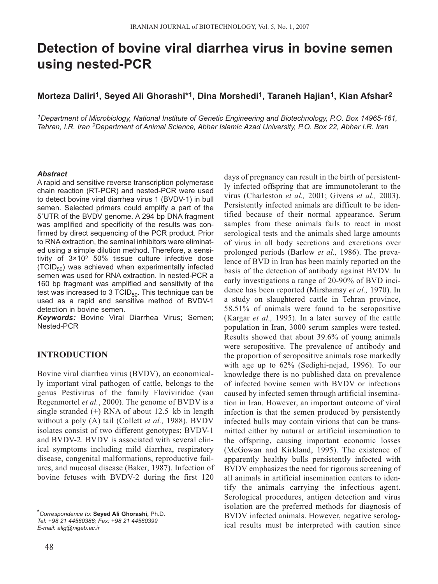# **Detection of bovine viral diarrhea virus in bovine semen using nested-PCR**

# **Morteza Daliri1, Seyed Ali Ghorashi\*1, Dina Morshedi1, Taraneh Hajian1, Kian Afshar2**

*1Department of Microbiology, National Institute of Genetic Engineering and Biotechnology, P.O. Box 14965-161, Tehran, I.R. Iran 2Department of Animal Science, Abhar Islamic Azad University, P.O. Box 22, Abhar I.R. Iran*

#### *Abstract*

A rapid and sensitive reverse transcription polymerase chain reaction (RT-PCR) and nested-PCR were used to detect bovine viral diarrhea virus 1 (BVDV-1) in bull semen. Selected primers could amplify a part of the 5´UTR of the BVDV genome. A 294 bp DNA fragment was amplified and specificity of the results was confirmed by direct sequencing of the PCR product. Prior to RNA extraction, the seminal inhibitors were eliminated using a simple dilution method. Therefore, a sensitivity of 3×102 50% tissue culture infective dose  $(TCID<sub>50</sub>)$  was achieved when experimentally infected semen was used for RNA extraction. In nested-PCR a 160 bp fragment was amplified and sensitivity of the test was increased to 3  $TCID_{50}$ . This technique can be used as a rapid and sensitive method of BVDV-1 detection in bovine semen.

*Keywords:* Bovine Viral Diarrhea Virus; Semen; Nested-PCR

### **INTRODUCTION**

Bovine viral diarrhea virus (BVDV), an economically important viral pathogen of cattle, belongs to the genus Pestivirus of the family Flaviviridae (van Regenmortel *et al.*, 2000). The genome of BVDV is a single stranded  $(+)$  RNA of about 12.5 kb in length without a poly (A) tail (Collett *et al.,* 1988). BVDV isolates consist of two different genotypes; BVDV-1 and BVDV-2. BVDV is associated with several clinical symptoms including mild diarrhea, respiratory disease, congenital malformations, reproductive failures, and mucosal disease (Baker, 1987). Infection of bovine fetuses with BVDV-2 during the first 120

*\*Correspondence to:* **Seyed Ali Ghorashi,** Ph.D. *Tel: +98 21 44580386; Fax: +98 21 44580399 E-mail: alig@nigeb.ac.ir*

ly infected offspring that are immunotolerant to the virus (Charleston *et al.,* 2001; Givens *et al.,* 2003). Persistently infected animals are difficult to be identified because of their normal appearance. Serum samples from these animals fails to react in most serological tests and the animals shed large amounts of virus in all body secretions and excretions over prolonged periods (Barlow *et al.,* 1986). The prevalence of BVD in Iran has been mainly reported on the basis of the detection of antibody against BVDV. In early investigations a range of 20-90% of BVD incidence has been reported (Mirshamsy *et al.,* 1970). In a study on slaughtered cattle in Tehran province, 58.51% of animals were found to be seropositive (Kargar *et al.,* 1995). In a later survey of the cattle population in Iran, 3000 serum samples were tested. Results showed that about 39.6% of young animals were seropositive. The prevalence of antibody and the proportion of seropositive animals rose markedly with age up to 62% (Sedighi-nejad, 1996). To our knowledge there is no published data on prevalence of infected bovine semen with BVDV or infections caused by infected semen through artificial insemination in Iran. However, an important outcome of viral infection is that the semen produced by persistently infected bulls may contain virions that can be transmitted either by natural or artificial insemination to the offspring, causing important economic losses (McGowan and Kirkland, 1995). The existence of apparently healthy bulls persistently infected with BVDV emphasizes the need for rigorous screening of all animals in artificial insemination centers to identify the animals carrying the infectious agent. Serological procedures, antigen detection and virus isolation are the preferred methods for diagnosis of BVDV infected animals. However, negative serological results must be interpreted with caution since

days of pregnancy can result in the birth of persistent-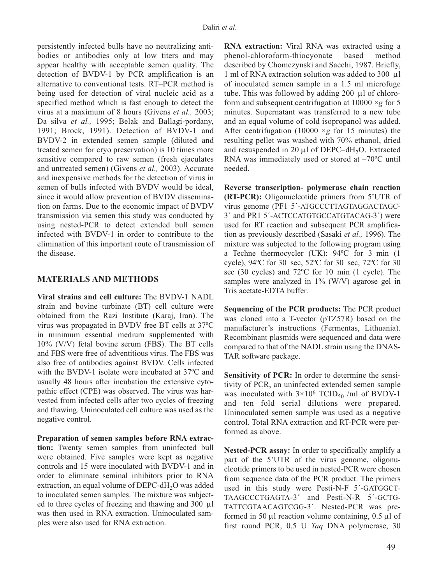persistently infected bulls have no neutralizing antibodies or antibodies only at low titers and may appear healthy with acceptable semen quality. The detection of BVDV-1 by PCR amplification is an alternative to conventional tests. RT–PCR method is being used for detection of viral nucleic acid as a specified method which is fast enough to detect the virus at a maximum of 8 hours (Givens *et al.,* 2003; Da silva *et al.,* 1995; Belak and Ballagi-pordany, 1991; Brock, 1991). Detection of BVDV-1 and BVDV-2 in extended semen sample (diluted and treated semen for cryo preservation) is 10 times more sensitive compared to raw semen (fresh ejaculates and untreated semen) (Givens *et al.,* 2003). Accurate and inexpensive methods for the detection of virus in semen of bulls infected with BVDV would be ideal, since it would allow prevention of BVDV dissemination on farms. Due to the economic impact of BVDV transmission via semen this study was conducted by using nested-PCR to detect extended bull semen infected with BVDV-1 in order to contribute to the elimination of this important route of transmission of the disease.

# **MATERIALS AND METHODS**

**Viral strains and cell culture:** The BVDV-1 NADL strain and bovine turbinate (BT) cell culture were obtained from the Razi Institute (Karaj, Iran). The virus was propagated in BVDV free BT cells at 37ºC in minimum essential medium supplemented with 10% (V/V) fetal bovine serum (FBS). The BT cells and FBS were free of adventitious virus. The FBS was also free of antibodies against BVDV. Cells infected with the BVDV-1 isolate were incubated at 37ºC and usually 48 hours after incubation the extensive cytopathic effect (CPE) was observed. The virus was harvested from infected cells after two cycles of freezing and thawing. Uninoculated cell culture was used as the negative control.

**Preparation of semen samples before RNA extraction:** Twenty semen samples from uninfected bull were obtained. Five samples were kept as negative controls and 15 were inoculated with BVDV-1 and in order to eliminate seminal inhibitors prior to RNA extraction, an equal volume of DEPC-dH<sub>2</sub>O was added to inoculated semen samples. The mixture was subjected to three cycles of freezing and thawing and 300 µl was then used in RNA extraction. Uninoculated samples were also used for RNA extraction.

**RNA extraction:** Viral RNA was extracted using a phenol-chloroform-thiocyonate based method described by Chomczynski and Sacchi, 1987. Briefly, 1 ml of RNA extraction solution was added to 300 µl of inoculated semen sample in a 1.5 ml microfuge tube. This was followed by adding 200 µl of chloroform and subsequent centrifugation at  $10000 \times g$  for 5 minutes. Supernatant was transferred to a new tube and an equal volume of cold isopropanol was added. After centrifugation (10000  $\times g$  for 15 minutes) the resulting pellet was washed with 70% ethanol, dried and resuspended in 20  $\mu$ l of DEPC–dH<sub>2</sub>O. Extracted RNA was immediately used or stored at –70ºC until needed.

**Reverse transcription- polymerase chain reaction (RT-PCR):** Oligonucleotide primers from 5'UTR of virus genome (PF1 5´-ATGCCCTTAGTAGGACTAGC-3´ and PR1 5´-ACTCCATGTGCCATGTACAG-3´) were used for RT reaction and subsequent PCR amplification as previously described (Sasaki *et al.,* 1996). The mixture was subjected to the following program using a Techne thermocycler (UK): 94ºC for 3 min (1 cycle), 94ºC for 30 sec, 52ºC for 30 sec, 72ºC for 30 sec (30 cycles) and 72ºC for 10 min (1 cycle). The samples were analyzed in 1% (W/V) agarose gel in Tris acetate-EDTA buffer.

**Sequencing of the PCR products:** The PCR product was cloned into a T-vector (pTZ57R) based on the manufacturer's instructions (Fermentas, Lithuania). Recombinant plasmids were sequenced and data were compared to that of the NADL strain using the DNAS-TAR software package.

**Sensitivity of PCR:** In order to determine the sensitivity of PCR, an uninfected extended semen sample was inoculated with  $3\times10^6$  TCID<sub>50</sub> /ml of BVDV-1 and ten fold serial dilutions were prepared. Uninoculated semen sample was used as a negative control. Total RNA extraction and RT-PCR were performed as above.

**Nested-PCR assay:** In order to specifically amplify a part of the 5'UTR of the virus genome, oligonucleotide primers to be used in nested-PCR were chosen from sequence data of the PCR product. The primers used in this study were Pesti-N-F 5´-GATGGCT-TAAGCCCTGAGTA-3´ and Pesti-N-R 5´-GCTG-TATTCGTAACAGTCGG-3´. Nested-PCR was preformed in 50  $\mu$ l reaction volume containing, 0.5  $\mu$ l of first round PCR, 0.5 U *Taq* DNA polymerase, 30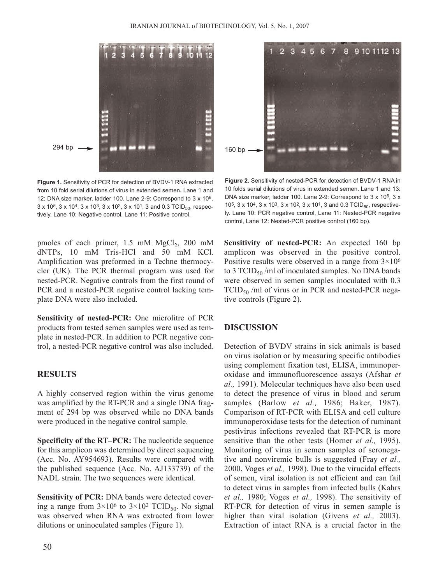

**Figure 1.** Sensitivity of PCR for detection of BVDV-1 RNA extracted from 10 fold serial dilutions of virus in extended semen**.** Lane 1 and 12: DNA size marker, ladder 100. Lane 2-9: Correspond to 3 x 106,  $3 \times 10^5$ ,  $3 \times 10^4$ ,  $3 \times 10^3$ ,  $3 \times 10^2$ ,  $3 \times 10^1$ ,  $3 \text{ and } 0.3 \text{ TCID}_{50}$ , respectively. Lane 10: Negative control. Lane 11: Positive control.

pmoles of each primer,  $1.5 \text{ mM } MgCl<sub>2</sub>$ ,  $200 \text{ mM}$ dNTPs, 10 mM Tris-HCl and 50 mM KCl. Amplification was preformed in a Techne thermocycler (UK). The PCR thermal program was used for nested-PCR. Negative controls from the first round of PCR and a nested-PCR negative control lacking template DNA were also included.

**Sensitivity of nested-PCR:** One microlitre of PCR products from tested semen samples were used as template in nested-PCR. In addition to PCR negative control, a nested-PCR negative control was also included.

# **RESULTS**

A highly conserved region within the virus genome was amplified by the RT-PCR and a single DNA fragment of 294 bp was observed while no DNA bands were produced in the negative control sample.

**Specificity of the RT–PCR:** The nucleotide sequence for this amplicon was determined by direct sequencing (Acc. No. AY954693). Results were compared with the published sequence (Acc. No. AJ133739) of the NADL strain. The two sequences were identical.

**Sensitivity of PCR:** DNA bands were detected covering a range from  $3 \times 10^6$  to  $3 \times 10^2$  TCID<sub>50</sub>. No signal was observed when RNA was extracted from lower dilutions or uninoculated samples (Figure 1).



**Figure 2.** Sensitivity of nested-PCR for detection of BVDV-1 RNA in 10 folds serial dilutions of virus in extended semen. Lane 1 and 13: DNA size marker, ladder 100. Lane 2-9: Correspond to 3 x 10<sup>6</sup>, 3 x 10<sup>5</sup>, 3 x 10<sup>4</sup>, 3 x 10<sup>3</sup>, 3 x 10<sup>2</sup>, 3 x 10<sup>1</sup>, 3 and 0.3 TCID<sub>50</sub>, respectively. Lane 10: PCR negative control, Lane 11: Nested-PCR negative control, Lane 12: Nested-PCR positive control (160 bp).

**Sensitivity of nested-PCR:** An expected 160 bp amplicon was observed in the positive control. Positive results were observed in a range from  $3 \times 10^6$ to 3 TCID $_{50}$ /ml of inoculated samples. No DNA bands were observed in semen samples inoculated with 0.3  $TCID_{50}$  /ml of virus or in PCR and nested-PCR negative controls (Figure 2).

## **DISCUSSION**

Detection of BVDV strains in sick animals is based on virus isolation or by measuring specific antibodies using complement fixation test, ELISA, immunoperoxidase and immunofluorescence assays (Afshar *et al.,* 1991). Molecular techniques have also been used to detect the presence of virus in blood and serum samples (Barlow *et al.,* 1986; Baker, 1987). Comparison of RT-PCR with ELISA and cell culture immunoperoxidase tests for the detection of ruminant pestivirus infections revealed that RT-PCR is more sensitive than the other tests (Horner *et al.,* 1995). Monitoring of virus in semen samples of seronegative and nonviremic bulls is suggested (Fray *et al.,* 2000, Voges *et al.,* 1998). Due to the virucidal effects of semen, viral isolation is not efficient and can fail to detect virus in samples from infected bulls (Kahrs *et al.,* 1980; Voges *et al.,* 1998). The sensitivity of RT-PCR for detection of virus in semen sample is higher than viral isolation (Givens *et al.,* 2003). Extraction of intact RNA is a crucial factor in the